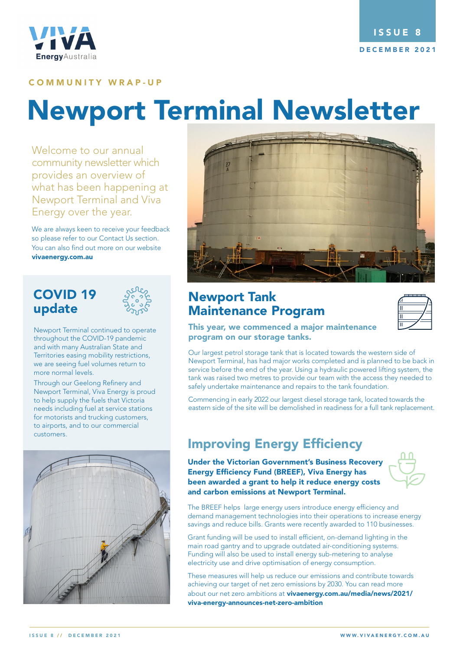

#### COMMUNITY WRAP-UP

# **Newport Terminal Newsletter**

*Welcome to our annual* community newsletter which provides an overview of what has been happening at Newport Terminal and Viva Energy over the year.

We are always keen to receive your feedback so please refer to our Contact Us section. You can also find out more on our website vivaenergy.com.au

## COVID 19 update



Newport Terminal continued to operate throughout the COVID-19 pandemic and with many Australian State and Territories easing mobility restrictions, we are seeing fuel volumes return to more normal levels.

Through our Geelong Refinery and Newport Terminal, Viva Energy is proud to help supply the fuels that Victoria needs including fuel at service stations for motorists and trucking customers, to airports, and to our commercial customers.





## Newport Tank Maintenance Program

| × |  |
|---|--|
|   |  |
| П |  |

This year, we commenced a major maintenance program on our storage tanks.

Our largest petrol storage tank that is located towards the western side of Newport Terminal, has had major works completed and is planned to be back in service before the end of the year. Using a hydraulic powered lifting system, the tank was raised two metres to provide our team with the access they needed to safely undertake maintenance and repairs to the tank foundation.

Commencing in early 2022 our largest diesel storage tank, located towards the eastern side of the site will be demolished in readiness for a full tank replacement.

# Improving Energy Efficiency

Under the Victorian Government's Business Recovery Energy Efficiency Fund (BREEF), Viva Energy has been awarded a grant to help it reduce energy costs and carbon emissions at Newport Terminal.



The BREEF helps large energy users introduce energy efficiency and demand management technologies into their operations to increase energy savings and reduce bills. Grants were recently awarded to 110 businesses.

Grant funding will be used to install efficient, on-demand lighting in the main road gantry and to upgrade outdated air-conditioning systems. Funding will also be used to install energy sub-metering to analyse electricity use and drive optimisation of energy consumption.

These measures will help us reduce our emissions and contribute towards achieving our target of net zero emissions by 2030. You can read more about our net zero ambitions at vivaenergy.com.au/media/news/2021/ viva-energy-announces-net-zero-ambition